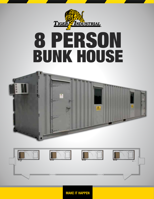

## 8 PERSON BUNK HOUSE





MAKE IT HAPPEN